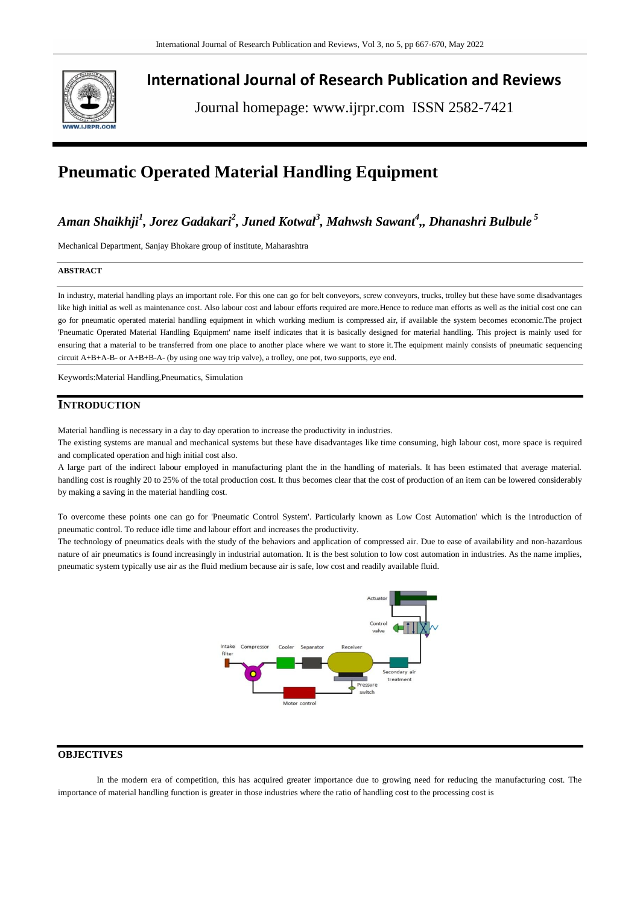

**International Journal of Research Publication and Reviews**

Journal homepage: www.ijrpr.com ISSN 2582-7421

# **Pneumatic Operated Material Handling Equipment**

## *Aman Shaikhji<sup>1</sup> , Jorez Gadakari<sup>2</sup> , Juned Kotwal<sup>3</sup> , Mahwsh Sawant<sup>4</sup> ,, Dhanashri Bulbule <sup>5</sup>*

Mechanical Department, Sanjay Bhokare group of institute, Maharashtra

#### **ABSTRACT**

In industry, material handling plays an important role. For this one can go for belt conveyors, screw conveyors, trucks, trolley but these have some disadvantages like high initial as well as maintenance cost. Also labour cost and labour efforts required are more.Hence to reduce man efforts as well as the initial cost one can go for pneumatic operated material handling equipment in which working medium is compressed air, if available the system becomes economic.The project 'Pneumatic Operated Material Handling Equipment' name itself indicates that it is basically designed for material handling. This project is mainly used for ensuring that a material to be transferred from one place to another place where we want to store it.The equipment mainly consists of pneumatic sequencing circuit A+B+A-B- or A+B+B-A- (by using one way trip valve), a trolley, one pot, two supports, eye end.

Keywords:Material Handling,Pneumatics, Simulation

## **INTRODUCTION**

Material handling is necessary in a day to day operation to increase the productivity in industries.

The existing systems are manual and mechanical systems but these have disadvantages like time consuming, high labour cost, more space is required and complicated operation and high initial cost also.

A large part of the indirect labour employed in manufacturing plant the in the handling of materials. It has been estimated that average material. handling cost is roughly 20 to 25% of the total production cost. It thus becomes clear that the cost of production of an item can be lowered considerably by making a saving in the material handling cost.

To overcome these points one can go for 'Pneumatic Control System'. Particularly known as Low Cost Automation' which is the introduction of pneumatic control. To reduce idle time and labour effort and increases the productivity.

The technology of pneumatics deals with the study of the behaviors and application of compressed air. Due to ease of availability and non-hazardous nature of air pneumatics is found increasingly in industrial automation. It is the best solution to low cost automation in industries. As the name implies, pneumatic system typically use air as the fluid medium because air is safe, low cost and readily available fluid.



## **OBJECTIVES**

In the modern era of competition, this has acquired greater importance due to growing need for reducing the manufacturing cost. The importance of material handling function is greater in those industries where the ratio of handling cost to the processing cost is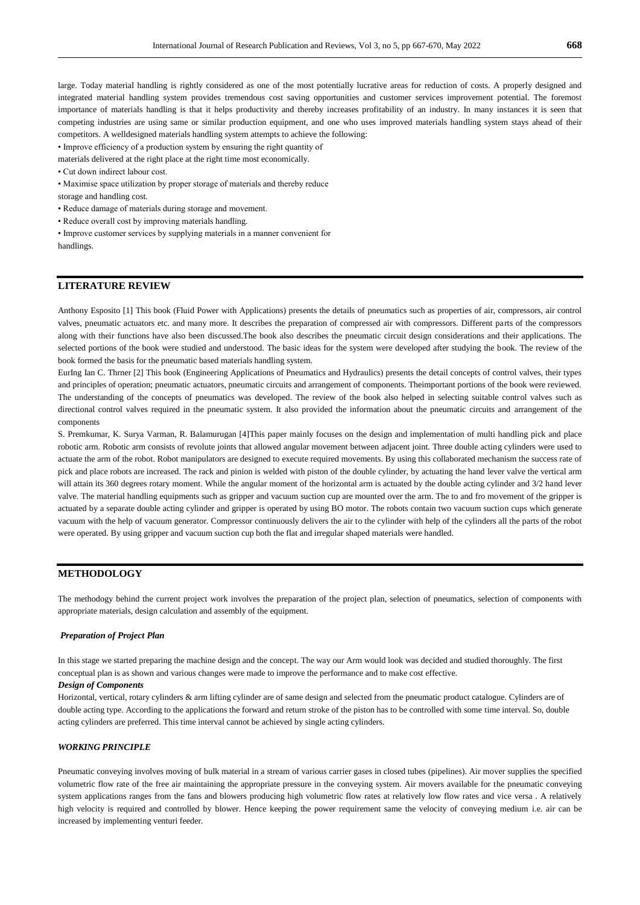large. Today material handling is rightly considered as one of the most potentially lucrative areas for reduction of costs. A properly designed and integrated material handling system provides tremendous cost saving opportunities and customer services improvement potential. The foremost importance of materials handling is that it helps productivity and thereby increases profitability of an industry. In many instances it is seen that competing industries are using same or similar production equipment, and one who uses improved materials handling system stays ahead of their competitors. A welldesigned materials handling system attempts to achieve the following:

• Improve efficiency of a production system by ensuring the right quantity of

materials delivered at the right place at the right time most economically.

• Maximise space utilization by proper storage of materials and thereby reduce

storage and handling cost.

- Reduce damage of materials during storage and movement.
- Reduce overall cost by improving materials handling.
- Improve customer services by supplying materials in a manner convenient for handlings.

## **LITERATURE REVIEW**

Anthony Esposito [1] This book (Fluid Power with Applications) presents the details of pneumatics such as properties of air, compressors, air control valves, pneumatic actuators etc. and many more. It describes the preparation of compressed air with compressors. Different parts of the compressors along with their functions have also been discussed.The book also describes the pneumatic circuit design considerations and their applications. The selected portions of the book were studied and understood. The basic ideas for the system were developed after studying the book. The review of the book formed the basis for the pneumatic based materials handling system.

EurIng Ian C. Thrner [2] This book (Engineering Applications of Pneumatics and Hydraulics) presents the detail concepts of control valves, their types and principles of operation; pneumatic actuators, pneumatic circuits and arrangement of components. Theimportant portions of the book were reviewed. The understanding of the concepts of pneumatics was developed. The review of the book also helped in selecting suitable control valves such as directional control valves required in the pneumatic system. It also provided the information about the pneumatic circuits and arrangement of the components

S. Premkumar, K. Surya Varman, R. Balamurugan [4]This paper mainly focuses on the design and implementation of multi handling pick and place robotic arm. Robotic arm consists of revolute joints that allowed angular movement between adjacent joint. Three double acting cylinders were used to actuate the arm of the robot. Robot manipulators are designed to execute required movements. By using this collaborated mechanism the success rate of pick and place robots are increased. The rack and pinion is welded with piston of the double cylinder, by actuating the hand lever valve the vertical arm will attain its 360 degrees rotary moment. While the angular moment of the horizontal arm is actuated by the double acting cylinder and 3/2 hand lever valve. The material handling equipments such as gripper and vacuum suction cup are mounted over the arm. The to and fro movement of the gripper is actuated by a separate double acting cylinder and gripper is operated by using BO motor. The robots contain two vacuum suction cups which generate vacuum with the help of vacuum generator. Compressor continuously delivers the air to the cylinder with help of the cylinders all the parts of the robot were operated. By using gripper and vacuum suction cup both the flat and irregular shaped materials were handled.

## **METHODOLOGY**

The methodogy behind the current project work involves the preparation of the project plan, selection of pneumatics, selection of components with appropriate materials, design calculation and assembly of the equipment.

#### *Preparation of Project Plan*

In this stage we started preparing the machine design and the concept. The way our Arm would look was decided and studied thoroughly. The first conceptual plan is as shown and various changes were made to improve the performance and to make cost effective.

#### *Design of Components*

Horizontal, vertical, rotary cylinders & arm lifting cylinder are of same design and selected from the pneumatic product catalogue. Cylinders are of double acting type. According to the applications the forward and return stroke of the piston has to be controlled with some time interval. So, double acting cylinders are preferred. This time interval cannot be achieved by single acting cylinders.

## *WORKING PRINCIPLE*

Pneumatic conveying involves moving of bulk material in a stream of various carrier gases in closed tubes (pipelines). Air mover supplies the specified volumetric flow rate of the free air maintaining the appropriate pressure in the conveying system. Air movers available for the pneumatic conveying system applications ranges from the fans and blowers producing high volumetric flow rates at relatively low flow rates and vice versa . A relatively high velocity is required and controlled by blower. Hence keeping the power requirement same the velocity of conveying medium i.e. air can be increased by implementing venturi feeder.

<sup>•</sup> Cut down indirect labour cost.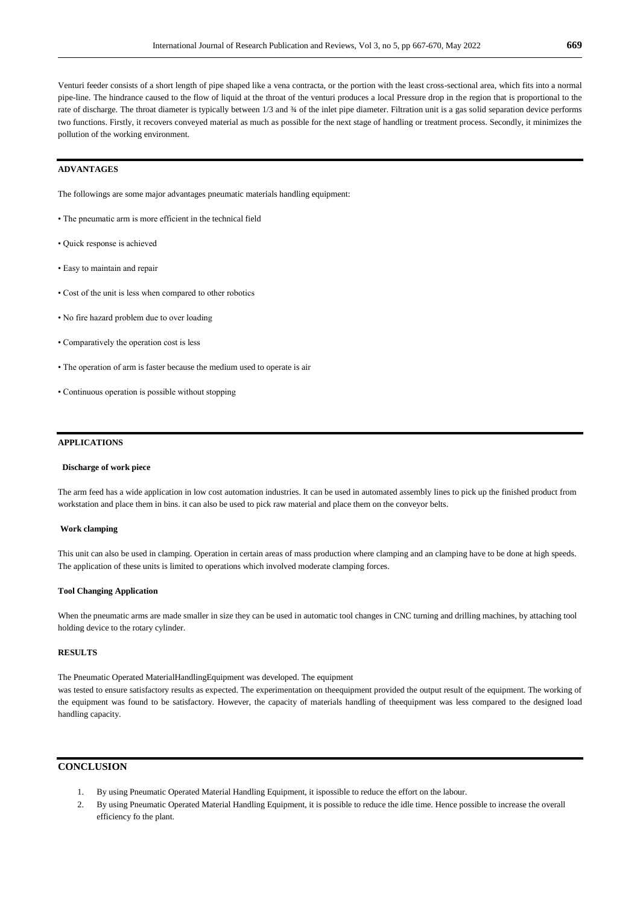Venturi feeder consists of a short length of pipe shaped like a vena contracta, or the portion with the least cross-sectional area, which fits into a normal pipe-line. The hindrance caused to the flow of liquid at the throat of the venturi produces a local Pressure drop in the region that is proportional to the rate of discharge. The throat diameter is typically between 1/3 and ¾ of the inlet pipe diameter. Filtration unit is a gas solid separation device performs two functions. Firstly, it recovers conveyed material as much as possible for the next stage of handling or treatment process. Secondly, it minimizes the pollution of the working environment.

## **ADVANTAGES**

The followings are some major advantages pneumatic materials handling equipment:

- The pneumatic arm is more efficient in the technical field
- Quick response is achieved
- Easy to maintain and repair
- Cost of the unit is less when compared to other robotics
- No fire hazard problem due to over loading
- Comparatively the operation cost is less
- The operation of arm is faster because the medium used to operate is air
- Continuous operation is possible without stopping

#### **APPLICATIONS**

#### **Discharge of work piece**

The arm feed has a wide application in low cost automation industries. It can be used in automated assembly lines to pick up the finished product from workstation and place them in bins. it can also be used to pick raw material and place them on the conveyor belts.

#### **Work clamping**

This unit can also be used in clamping. Operation in certain areas of mass production where clamping and an clamping have to be done at high speeds. The application of these units is limited to operations which involved moderate clamping forces.

#### **Tool Changing Application**

When the pneumatic arms are made smaller in size they can be used in automatic tool changes in CNC turning and drilling machines, by attaching tool holding device to the rotary cylinder.

### **RESULTS**

The Pneumatic Operated MaterialHandlingEquipment was developed. The equipment

was tested to ensure satisfactory results as expected. The experimentation on theequipment provided the output result of the equipment. The working of the equipment was found to be satisfactory. However, the capacity of materials handling of theequipment was less compared to the designed load handling capacity.

## **CONCLUSION**

- 1. By using Pneumatic Operated Material Handling Equipment, it ispossible to reduce the effort on the labour.
- 2. By using Pneumatic Operated Material Handling Equipment, it is possible to reduce the idle time. Hence possible to increase the overall efficiency fo the plant.